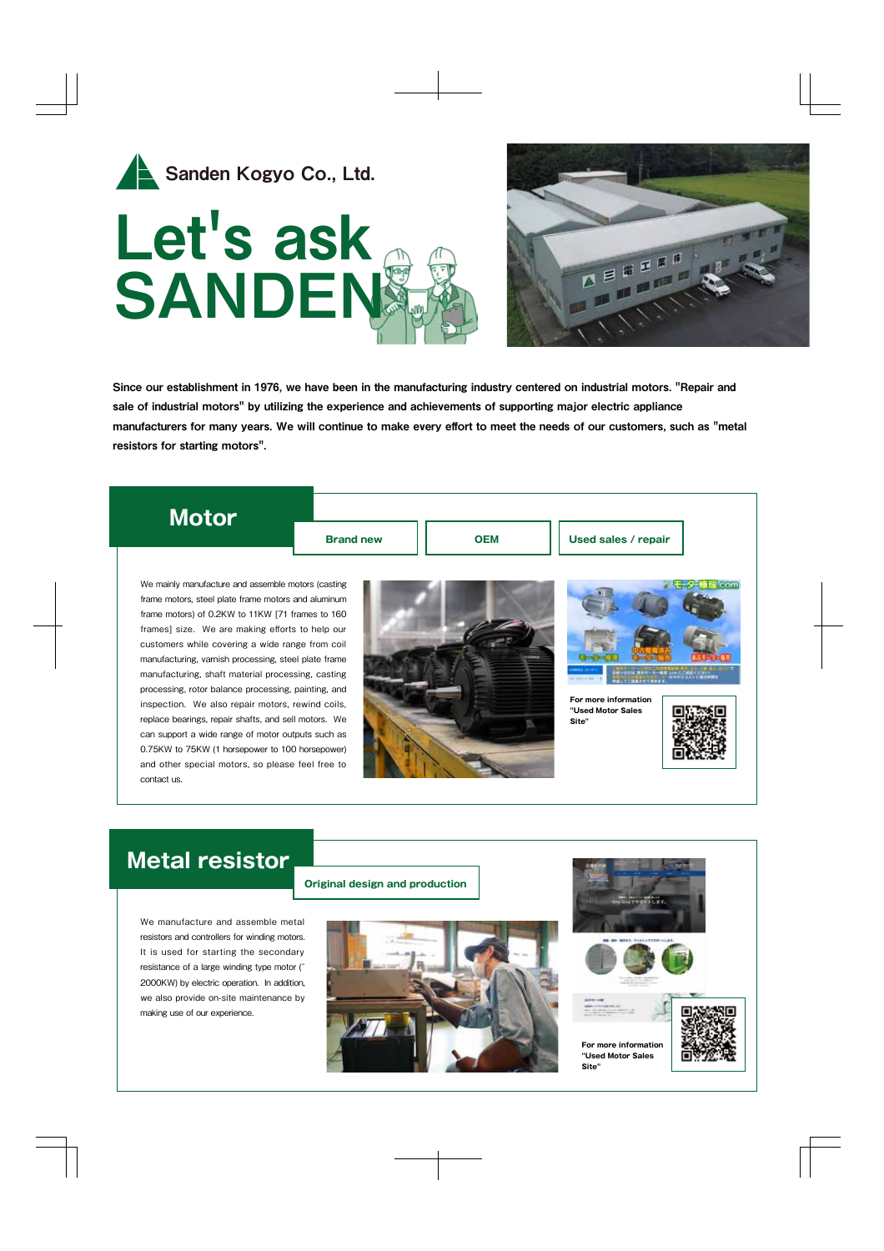



Since our establishment in 1976, we have been in the manufacturing industry centered on industrial motors. "Repair and sale of industrial motors" by utilizing the experience and achievements of supporting major electric appliance manufacturers for many years. We will continue to make every effort to meet the needs of our customers, such as "metal resistors for starting motors".

## **Motor**

**Brand new**

**OEM Used sales / repair**

We mainly manufacture and assemble motors (casting frame motors, steel plate frame motors and aluminum frame motors) of 0.2KW to 11KW [71 frames to 160 frames] size. We are making efforts to help our customers while covering a wide range from coil manufacturing, varnish processing, steel plate frame manufacturing, shaft material processing, casting processing, rotor balance processing, painting, and inspection. We also repair motors, rewind coils, replace bearings, repair shafts, and sell motors. We can support a wide range of motor outputs such as 0.75KW to 75KW (1 horsepower to 100 horsepower) and other special motors, so please feel free to contact us.





**For more information "Used Motor Sales Site"**



## **Metal resistor**

We manufacture and assemble metal resistors and controllers for winding motors. It is used for starting the secondary resistance of a large winding type motor (̃ 2000KW) by electric operation. In addition, we also provide on-site maintenance by making use of our experience.



**Original design and production**







**Site"**

**For more information "Used Motor Sales**